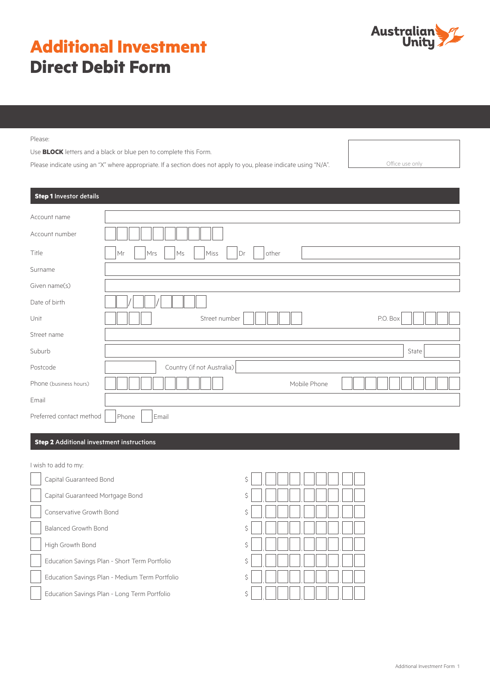# **Additional Investment Direct Debit Form**

Please:

Use **BLOCK** letters and a black or blue pen to complete this Form.

Please indicate using an "X" where appropriate. If a section does not apply to you, please indicate using "N/A". Office use only

**Step 1** Investor details Account name Account number Title Mr Mrs Ms Miss Dr other Surname Given name(s) Date of birth Unit The P.O. Box (Street number P.O. Box 317 Co. Box 317 Co. Box 317 Co. Box 317 Co. Box 317 Co. Box 317 Co. Box 317 Co. Box 317 Co. Box 317 Co. Box 317 Co. Box 317 Co. Box 317 Co. Box 317 Co. Box 317 Co. Box 317 Co. Box Street name Suburb State Suburb State Suburb State Suburb State Suburb State Suburb State Suburb State Suburb State Suburb Postcode **Country (if not Australia)** Phone (business hours)  $\|\|\|\|\|\|\|\|\|\|\|\|\|$ Email Preferred contact method  $\vert$  Phone  $\vert$  Email

# **Step 2** Additional investment instructions

I wish to add to my:

| Capital Guaranteed Bond                        | \$ |
|------------------------------------------------|----|
| Capital Guaranteed Mortgage Bond               | \$ |
| Conservative Growth Bond                       | \$ |
| Balanced Growth Bond                           | \$ |
| High Growth Bond                               | Ś  |
| Education Savings Plan - Short Term Portfolio  | \$ |
| Education Savings Plan - Medium Term Portfolio | \$ |
| Education Savings Plan - Long Term Portfolio   | \$ |

| \$               | $\Box$                                            |
|------------------|---------------------------------------------------|
| \$               | $\Box$<br>$\begin{bmatrix} 1 \\ -1 \end{bmatrix}$ |
| $\ddot{\varphi}$ | $\Box$ , $\Box$                                   |
| $\ddot{\varphi}$ | $\Box$ , $\Box$<br>$\Box$ , $\Box\Box$            |
| $\ddot{\varphi}$ | $\Box$<br>$\Box$ , $\Box$ $\Box$                  |
| $\ddot{\varphi}$ | $\Box \Box \Box$<br>$\Box$                        |
| \$               |                                                   |
| \$               | $\vert \hspace{.06cm} \vert$<br>$\vert \ \ \vert$ |
|                  |                                                   |

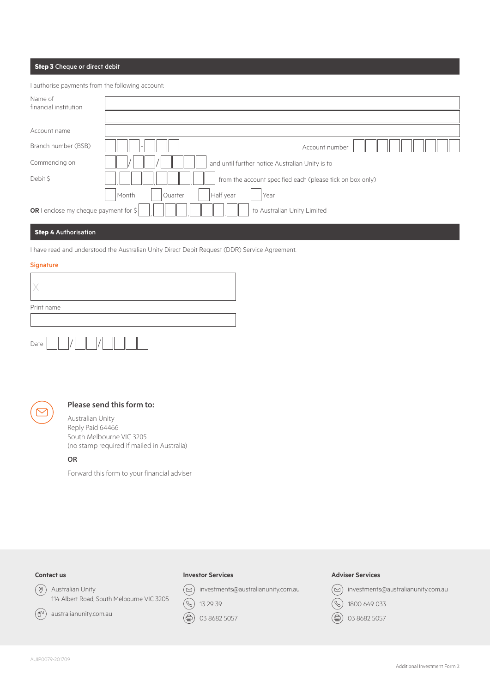# **Step 3** Cheque or direct debit

I authorise payments from the following account:

| Name of<br>financial institution                                                |                  |                                                           |  |
|---------------------------------------------------------------------------------|------------------|-----------------------------------------------------------|--|
|                                                                                 |                  |                                                           |  |
| Account name                                                                    |                  |                                                           |  |
| Branch number (BSB)                                                             |                  | Account number                                            |  |
| Commencing on                                                                   |                  | and until further notice Australian Unity is to           |  |
| Debit \$                                                                        |                  | from the account specified each (please tick on box only) |  |
|                                                                                 | Month<br>Quarter | Half year<br>Year                                         |  |
| OR I enclose my cheque payment for $\frac{1}{2}$<br>to Australian Unity Limited |                  |                                                           |  |

# **Step 4** Authorisation

I have read and understood the Australian Unity Direct Debit Request (DDR) Service Agreement.

#### **Signature**

| Print name |  |  |  |
|------------|--|--|--|
|            |  |  |  |
| Date       |  |  |  |



# **Please send this form to:**

Australian Unity Reply Paid 64466 South Melbourne VIC 3205 (no stamp required if mailed in Australia)

# **OR**

Forward this form to your financial adviser

# **Contact us**

 $\circledcirc$ 

 $(\oplus)$ 

Australian Unity 114 Albert Road, South Melbourne VIC 3205

australianunity.com.au

#### **Investor Services**

 $\circledcirc$  investments@australianunity.com.au



(●) 03 8682 5057

# **Adviser Services**



(合) 03 8682 5057

AUIP0079-201709